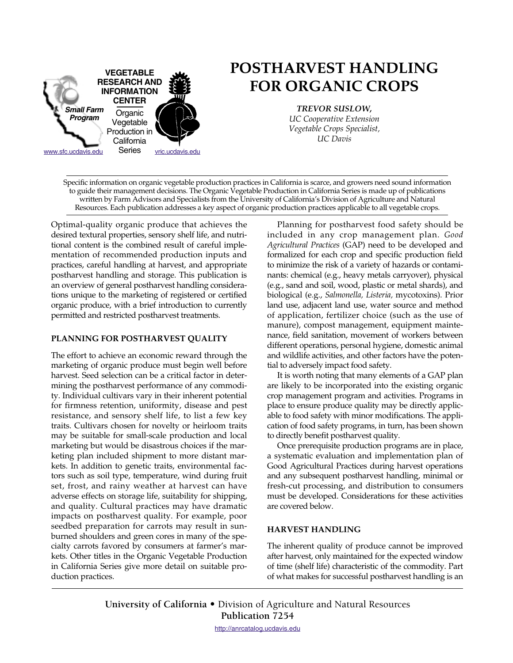

# **POSTHARVEST HANDLING FOR ORGANIC CROPS**

*TREVOR SUSLOW, UC Cooperative Extension Vegetable Crops Specialist, UC Davis*

Specific information on organic vegetable production practices in California is scarce, and growers need sound information to guide their management decisions. The Organic Vegetable Production in California Series is made up of publications written by Farm Advisors and Specialists from the University of California's Division of Agriculture and Natural Resources. Each publication addresses a key aspect of organic production practices applicable to all vegetable crops.

Optimal-quality organic produce that achieves the desired textural properties, sensory shelf life, and nutritional content is the combined result of careful implementation of recommended production inputs and practices, careful handling at harvest, and appropriate postharvest handling and storage. This publication is an overview of general postharvest handling considerations unique to the marketing of registered or certified organic produce, with a brief introduction to currently permitted and restricted postharvest treatments.

# **PLANNING FOR POSTHARVEST QUALITY**

The effort to achieve an economic reward through the marketing of organic produce must begin well before harvest. Seed selection can be a critical factor in determining the postharvest performance of any commodity. Individual cultivars vary in their inherent potential for firmness retention, uniformity, disease and pest resistance, and sensory shelf life, to list a few key traits. Cultivars chosen for novelty or heirloom traits may be suitable for small-scale production and local marketing but would be disastrous choices if the marketing plan included shipment to more distant markets. In addition to genetic traits, environmental factors such as soil type, temperature, wind during fruit set, frost, and rainy weather at harvest can have adverse effects on storage life, suitability for shipping, and quality. Cultural practices may have dramatic impacts on postharvest quality. For example, poor seedbed preparation for carrots may result in sunburned shoulders and green cores in many of the specialty carrots favored by consumers at farmer's markets. Other titles in the Organic Vegetable Production in California Series give more detail on suitable production practices.

Planning for postharvest food safety should be included in any crop management plan. *Good Agricultural Practices* (GAP) need to be developed and formalized for each crop and specific production field to minimize the risk of a variety of hazards or contaminants: chemical (e.g., heavy metals carryover), physical (e.g., sand and soil, wood, plastic or metal shards), and biological (e.g., *Salmonella, Listeria,* mycotoxins). Prior land use, adjacent land use, water source and method of application, fertilizer choice (such as the use of manure), compost management, equipment maintenance, field sanitation, movement of workers between different operations, personal hygiene, domestic animal and wildlife activities, and other factors have the potential to adversely impact food safety.

It is worth noting that many elements of a GAP plan are likely to be incorporated into the existing organic crop management program and activities. Programs in place to ensure produce quality may be directly applicable to food safety with minor modifications. The application of food safety programs, in turn, has been shown to directly benefit postharvest quality.

Once prerequisite production programs are in place, a systematic evaluation and implementation plan of Good Agricultural Practices during harvest operations and any subsequent postharvest handling, minimal or fresh-cut processing, and distribution to consumers must be developed. Considerations for these activities are covered below.

# **HARVEST HANDLING**

The inherent quality of produce cannot be improved after harvest, only maintained for the expected window of time (shelf life) characteristic of the commodity. Part of what makes for successful postharvest handling is an

**University of California** • [Division of Agriculture and Natural Resources](http://anrcatalog.ucdavis.edu) **Publication 7254**

http://anrcatalog.ucdavis.edu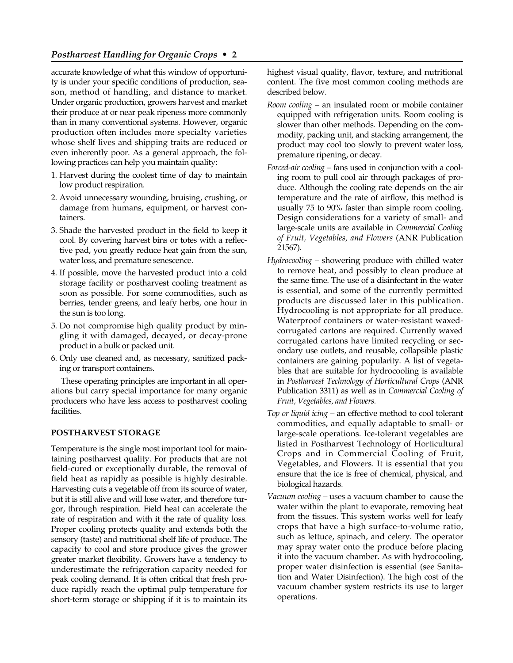accurate knowledge of what this window of opportunity is under your specific conditions of production, season, method of handling, and distance to market. Under organic production, growers harvest and market their produce at or near peak ripeness more commonly than in many conventional systems. However, organic production often includes more specialty varieties whose shelf lives and shipping traits are reduced or even inherently poor. As a general approach, the following practices can help you maintain quality:

- 1. Harvest during the coolest time of day to maintain low product respiration.
- 2. Avoid unnecessary wounding, bruising, crushing, or damage from humans, equipment, or harvest containers.
- 3. Shade the harvested product in the field to keep it cool. By covering harvest bins or totes with a reflective pad, you greatly reduce heat gain from the sun, water loss, and premature senescence.
- 4. If possible, move the harvested product into a cold storage facility or postharvest cooling treatment as soon as possible. For some commodities, such as berries, tender greens, and leafy herbs, one hour in the sun is too long.
- 5. Do not compromise high quality product by mingling it with damaged, decayed, or decay-prone product in a bulk or packed unit.
- 6. Only use cleaned and, as necessary, sanitized packing or transport containers.

These operating principles are important in all operations but carry special importance for many organic producers who have less access to postharvest cooling facilities.

#### **POSTHARVEST STORAGE**

Temperature is the single most important tool for maintaining postharvest quality. For products that are not field-cured or exceptionally durable, the removal of field heat as rapidly as possible is highly desirable. Harvesting cuts a vegetable off from its source of water, but it is still alive and will lose water, and therefore turgor, through respiration. Field heat can accelerate the rate of respiration and with it the rate of quality loss. Proper cooling protects quality and extends both the sensory (taste) and nutritional shelf life of produce. The capacity to cool and store produce gives the grower greater market flexibility. Growers have a tendency to underestimate the refrigeration capacity needed for peak cooling demand. It is often critical that fresh produce rapidly reach the optimal pulp temperature for short-term storage or shipping if it is to maintain its

highest visual quality, flavor, texture, and nutritional content. The five most common cooling methods are described below.

- *Room cooling* an insulated room or mobile container equipped with refrigeration units. Room cooling is slower than other methods. Depending on the commodity, packing unit, and stacking arrangement, the product may cool too slowly to prevent water loss, premature ripening, or decay.
- *Forced-air cooling* fans used in conjunction with a cooling room to pull cool air through packages of produce. Although the cooling rate depends on the air temperature and the rate of airflow, this method is usually 75 to 90% faster than simple room cooling. Design considerations for a variety of small- and large-scale units are available in *Commercial Cooling of Fruit, Vegetables, and Flowers* (ANR Publication 21567).
- *Hydrocooling* showering produce with chilled water to remove heat, and possibly to clean produce at the same time. The use of a disinfectant in the water is essential, and some of the currently permitted products are discussed later in this publication. Hydrocooling is not appropriate for all produce. Waterproof containers or water-resistant waxedcorrugated cartons are required. Currently waxed corrugated cartons have limited recycling or secondary use outlets, and reusable, collapsible plastic containers are gaining popularity. A list of vegetables that are suitable for hydrocooling is available in *Postharvest Technology of Horticultural Crops* (ANR Publication 3311) as well as in *Commercial Cooling of Fruit, Vegetables, and Flowers.*
- *Top or liquid icing* an effective method to cool tolerant commodities, and equally adaptable to small- or large-scale operations. Ice-tolerant vegetables are listed in Postharvest Technology of Horticultural Crops and in Commercial Cooling of Fruit, Vegetables, and Flowers. It is essential that you ensure that the ice is free of chemical, physical, and biological hazards.
- *Vacuum cooling* uses a vacuum chamber to cause the water within the plant to evaporate, removing heat from the tissues. This system works well for leafy crops that have a high surface-to-volume ratio, such as lettuce, spinach, and celery. The operator may spray water onto the produce before placing it into the vacuum chamber. As with hydrocooling, proper water disinfection is essential (see Sanitation and Water Disinfection). The high cost of the vacuum chamber system restricts its use to larger operations.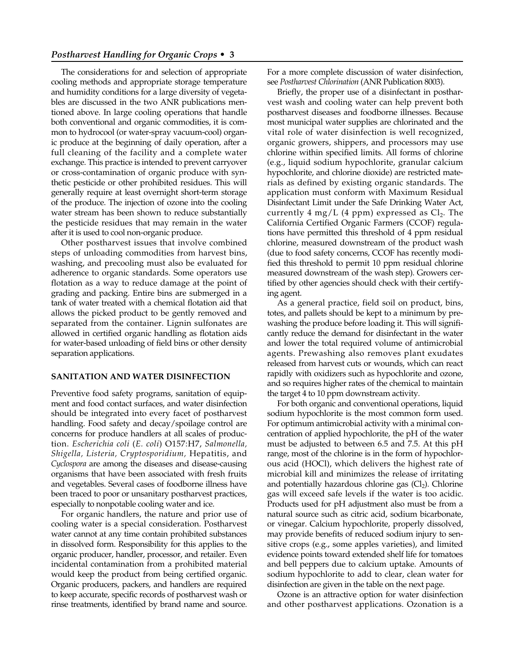The considerations for and selection of appropriate cooling methods and appropriate storage temperature and humidity conditions for a large diversity of vegetables are discussed in the two ANR publications mentioned above. In large cooling operations that handle both conventional and organic commodities, it is common to hydrocool (or water-spray vacuum-cool) organic produce at the beginning of daily operation, after a full cleaning of the facility and a complete water exchange. This practice is intended to prevent carryover or cross-contamination of organic produce with synthetic pesticide or other prohibited residues. This will generally require at least overnight short-term storage of the produce. The injection of ozone into the cooling water stream has been shown to reduce substantially the pesticide residues that may remain in the water after it is used to cool non-organic produce.

Other postharvest issues that involve combined steps of unloading commodities from harvest bins, washing, and precooling must also be evaluated for adherence to organic standards. Some operators use flotation as a way to reduce damage at the point of grading and packing. Entire bins are submerged in a tank of water treated with a chemical flotation aid that allows the picked product to be gently removed and separated from the container. Lignin sulfonates are allowed in certified organic handling as flotation aids for water-based unloading of field bins or other density separation applications.

# **SANITATION AND WATER DISINFECTION**

Preventive food safety programs, sanitation of equipment and food contact surfaces, and water disinfection should be integrated into every facet of postharvest handling. Food safety and decay/spoilage control are concerns for produce handlers at all scales of production. *Escherichia coli* (*E. coli*) O157:H7, *Salmonella, Shigella, Listeria, Cryptosporidium,* Hepatitis, and *Cyclospora* are among the diseases and disease-causing organisms that have been associated with fresh fruits and vegetables. Several cases of foodborne illness have been traced to poor or unsanitary postharvest practices, especially to nonpotable cooling water and ice.

For organic handlers, the nature and prior use of cooling water is a special consideration. Postharvest water cannot at any time contain prohibited substances in dissolved form. Responsibility for this applies to the organic producer, handler, processor, and retailer. Even incidental contamination from a prohibited material would keep the product from being certified organic. Organic producers, packers, and handlers are required to keep accurate, specific records of postharvest wash or rinse treatments, identified by brand name and source. For a more complete discussion of water disinfection, see *Postharvest Chlorination* (ANR Publication 8003).

Briefly, the proper use of a disinfectant in postharvest wash and cooling water can help prevent both postharvest diseases and foodborne illnesses. Because most municipal water supplies are chlorinated and the vital role of water disinfection is well recognized, organic growers, shippers, and processors may use chlorine within specified limits. All forms of chlorine (e.g., liquid sodium hypochlorite, granular calcium hypochlorite, and chlorine dioxide) are restricted materials as defined by existing organic standards. The application must conform with Maximum Residual Disinfectant Limit under the Safe Drinking Water Act, currently 4 mg/L (4 ppm) expressed as  $Cl<sub>2</sub>$ . The California Certified Organic Farmers (CCOF) regulations have permitted this threshold of 4 ppm residual chlorine, measured downstream of the product wash (due to food safety concerns, CCOF has recently modified this threshold to permit 10 ppm residual chlorine measured downstream of the wash step). Growers certified by other agencies should check with their certifying agent.

As a general practice, field soil on product, bins, totes, and pallets should be kept to a minimum by prewashing the produce before loading it. This will significantly reduce the demand for disinfectant in the water and lower the total required volume of antimicrobial agents. Prewashing also removes plant exudates released from harvest cuts or wounds, which can react rapidly with oxidizers such as hypochlorite and ozone, and so requires higher rates of the chemical to maintain the target 4 to 10 ppm downstream activity.

For both organic and conventional operations, liquid sodium hypochlorite is the most common form used. For optimum antimicrobial activity with a minimal concentration of applied hypochlorite, the pH of the water must be adjusted to between 6.5 and 7.5. At this pH range, most of the chlorine is in the form of hypochlorous acid (HOCl), which delivers the highest rate of microbial kill and minimizes the release of irritating and potentially hazardous chlorine gas  $(Cl<sub>2</sub>)$ . Chlorine gas will exceed safe levels if the water is too acidic. Products used for pH adjustment also must be from a natural source such as citric acid, sodium bicarbonate, or vinegar. Calcium hypochlorite, properly dissolved, may provide benefits of reduced sodium injury to sensitive crops (e.g., some apples varieties), and limited evidence points toward extended shelf life for tomatoes and bell peppers due to calcium uptake. Amounts of sodium hypochlorite to add to clear, clean water for disinfection are given in the table on the next page.

Ozone is an attractive option for water disinfection and other postharvest applications. Ozonation is a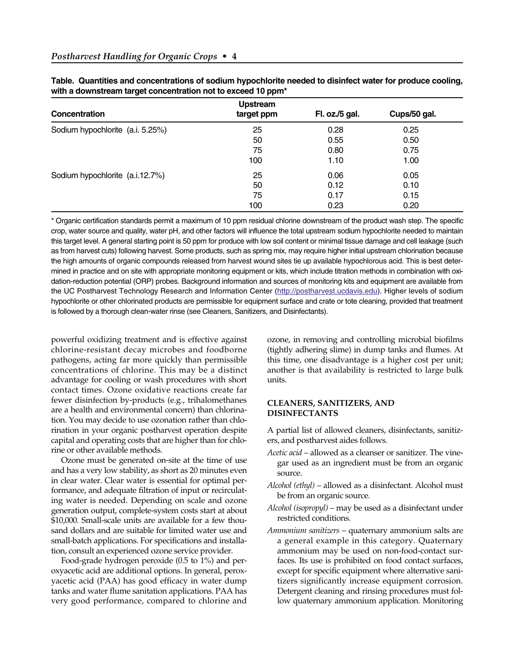| Concentration                    | <b>Upstream</b><br>target ppm | Fl. oz./5 gal. | Cups/50 gal. |
|----------------------------------|-------------------------------|----------------|--------------|
| Sodium hypochlorite (a.i. 5.25%) | 25                            | 0.28           | 0.25         |
|                                  | 50                            | 0.55           | 0.50         |
|                                  | 75                            | 0.80           | 0.75         |
|                                  | 100                           | 1.10           | 1.00         |
| Sodium hypochlorite (a.i.12.7%)  | 25                            | 0.06           | 0.05         |
|                                  | 50                            | 0.12           | 0.10         |
|                                  | 75                            | 0.17           | 0.15         |
|                                  | 100                           | 0.23           | 0.20         |

| Table. Quantities and concentrations of sodium hypochlorite needed to disinfect water for produce cooling, |  |  |
|------------------------------------------------------------------------------------------------------------|--|--|
| with a downstream target concentration not to exceed 10 ppm <sup>*</sup>                                   |  |  |

\* Organic certification standards permit a maximum of 10 ppm residual chlorine downstream of the product wash step. The specific crop, water source and quality, water pH, and other factors will influence the total upstream sodium hypochlorite needed to maintain this target level. A general starting point is 50 ppm for produce with low soil content or minimal tissue damage and cell leakage (such as from harvest cuts) following harvest. Some products, such as spring mix, may require higher initial upstream chlorination because the high amounts of organic compounds released from harvest wound sites tie up available hypochlorous acid. This is best determined in practice and on site with appropriate monitoring equipment or kits, which include titration methods in combination with oxidation-reduction potential (ORP) probes. Background information and sources of monitoring kits and equipment are available from the UC Postharvest Technology Research and Information Cente[r \(http://postharvest.ucdavis.edu\).](http://postharvest.ucdavis.edu) Higher levels of sodium hypochlorite or other chlorinated products are permissible for equipment surface and crate or tote cleaning, provided that treatment is followed by a thorough clean-water rinse (see Cleaners, Sanitizers, and Disinfectants).

powerful oxidizing treatment and is effective against chlorine-resistant decay microbes and foodborne pathogens, acting far more quickly than permissible concentrations of chlorine. This may be a distinct advantage for cooling or wash procedures with short contact times. Ozone oxidative reactions create far fewer disinfection by-products (e.g., trihalomethanes are a health and environmental concern) than chlorination. You may decide to use ozonation rather than chlorination in your organic postharvest operation despite capital and operating costs that are higher than for chlorine or other available methods.

Ozone must be generated on-site at the time of use and has a very low stability, as short as 20 minutes even in clear water. Clear water is essential for optimal performance, and adequate filtration of input or recirculating water is needed. Depending on scale and ozone generation output, complete-system costs start at about \$10,000. Small-scale units are available for a few thousand dollars and are suitable for limited water use and small-batch applications. For specifications and installation, consult an experienced ozone service provider.

Food-grade hydrogen peroxide (0.5 to 1%) and peroxyacetic acid are additional options. In general, peroxyacetic acid (PAA) has good efficacy in water dump tanks and water flume sanitation applications. PAA has very good performance, compared to chlorine and ozone, in removing and controlling microbial biofilms (tightly adhering slime) in dump tanks and flumes. At this time, one disadvantage is a higher cost per unit; another is that availability is restricted to large bulk units.

#### **CLEANERS, SANITIZERS, AND DISINFECTANTS**

A partial list of allowed cleaners, disinfectants, sanitizers, and postharvest aides follows.

- *Acetic acid* allowed as a cleanser or sanitizer. The vinegar used as an ingredient must be from an organic source.
- *Alcohol (ethyl)* allowed as a disinfectant. Alcohol must be from an organic source.
- *Alcohol (isopropyl)* may be used as a disinfectant under restricted conditions.
- *Ammonium sanitizers* quaternary ammonium salts are a general example in this category. Quaternary ammonium may be used on non-food-contact surfaces. Its use is prohibited on food contact surfaces, except for specific equipment where alternative sanitizers significantly increase equipment corrosion. Detergent cleaning and rinsing procedures must follow quaternary ammonium application. Monitoring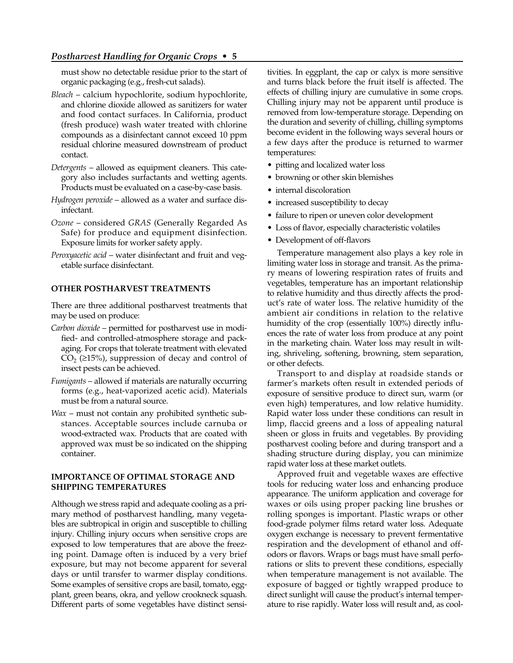must show no detectable residue prior to the start of organic packaging (e.g., fresh-cut salads).

- *Bleach* calcium hypochlorite, sodium hypochlorite, and chlorine dioxide allowed as sanitizers for water and food contact surfaces. In California, product (fresh produce) wash water treated with chlorine compounds as a disinfectant cannot exceed 10 ppm residual chlorine measured downstream of product contact.
- *Detergents* allowed as equipment cleaners. This category also includes surfactants and wetting agents. Products must be evaluated on a case-by-case basis.
- *Hydrogen peroxide* allowed as a water and surface disinfectant.
- *Ozone* considered *GRAS* (Generally Regarded As Safe) for produce and equipment disinfection. Exposure limits for worker safety apply.
- *Peroxyacetic acid* water disinfectant and fruit and vegetable surface disinfectant.

#### **OTHER POSTHARVEST TREATMENTS**

There are three additional postharvest treatments that may be used on produce:

- *Carbon dioxide* permitted for postharvest use in modified- and controlled-atmosphere storage and packaging. For crops that tolerate treatment with elevated  $CO<sub>2</sub>$  ( $\geq$ 15%), suppression of decay and control of insect pests can be achieved.
- *Fumigants* allowed if materials are naturally occurring forms (e.g., heat-vaporized acetic acid). Materials must be from a natural source.
- *Wax* must not contain any prohibited synthetic substances. Acceptable sources include carnuba or wood-extracted wax. Products that are coated with approved wax must be so indicated on the shipping container.

## **IMPORTANCE OF OPTIMAL STORAGE AND SHIPPING TEMPERATURES**

Although we stress rapid and adequate cooling as a primary method of postharvest handling, many vegetables are subtropical in origin and susceptible to chilling injury. Chilling injury occurs when sensitive crops are exposed to low temperatures that are above the freezing point. Damage often is induced by a very brief exposure, but may not become apparent for several days or until transfer to warmer display conditions. Some examples of sensitive crops are basil, tomato, eggplant, green beans, okra, and yellow crookneck squash. Different parts of some vegetables have distinct sensitivities. In eggplant, the cap or calyx is more sensitive and turns black before the fruit itself is affected. The effects of chilling injury are cumulative in some crops. Chilling injury may not be apparent until produce is removed from low-temperature storage. Depending on the duration and severity of chilling, chilling symptoms become evident in the following ways several hours or a few days after the produce is returned to warmer temperatures:

- pitting and localized water loss
- browning or other skin blemishes
- internal discoloration
- increased susceptibility to decay
- failure to ripen or uneven color development
- Loss of flavor, especially characteristic volatiles
- Development of off-flavors

Temperature management also plays a key role in limiting water loss in storage and transit. As the primary means of lowering respiration rates of fruits and vegetables, temperature has an important relationship to relative humidity and thus directly affects the product's rate of water loss. The relative humidity of the ambient air conditions in relation to the relative humidity of the crop (essentially 100%) directly influences the rate of water loss from produce at any point in the marketing chain. Water loss may result in wilting, shriveling, softening, browning, stem separation, or other defects.

Transport to and display at roadside stands or farmer's markets often result in extended periods of exposure of sensitive produce to direct sun, warm (or even high) temperatures, and low relative humidity. Rapid water loss under these conditions can result in limp, flaccid greens and a loss of appealing natural sheen or gloss in fruits and vegetables. By providing postharvest cooling before and during transport and a shading structure during display, you can minimize rapid water loss at these market outlets.

Approved fruit and vegetable waxes are effective tools for reducing water loss and enhancing produce appearance. The uniform application and coverage for waxes or oils using proper packing line brushes or rolling sponges is important. Plastic wraps or other food-grade polymer films retard water loss. Adequate oxygen exchange is necessary to prevent fermentative respiration and the development of ethanol and offodors or flavors. Wraps or bags must have small perforations or slits to prevent these conditions, especially when temperature management is not available. The exposure of bagged or tightly wrapped produce to direct sunlight will cause the product's internal temperature to rise rapidly. Water loss will result and, as cool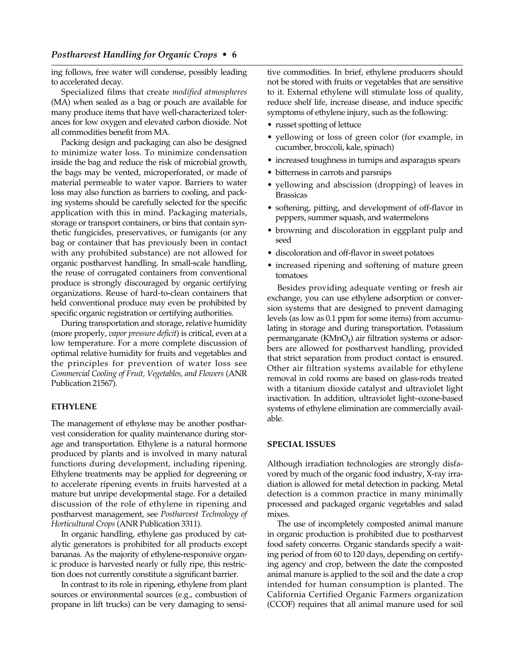ing follows, free water will condense, possibly leading to accelerated decay.

Specialized films that create *modified atmospheres* (MA) when sealed as a bag or pouch are available for many produce items that have well-characterized tolerances for low oxygen and elevated carbon dioxide. Not all commodities benefit from MA.

Packing design and packaging can also be designed to minimize water loss. To minimize condensation inside the bag and reduce the risk of microbial growth, the bags may be vented, microperforated, or made of material permeable to water vapor. Barriers to water loss may also function as barriers to cooling, and packing systems should be carefully selected for the specific application with this in mind. Packaging materials, storage or transport containers, or bins that contain synthetic fungicides, preservatives, or fumigants (or any bag or container that has previously been in contact with any prohibited substance) are not allowed for organic postharvest handling. In small-scale handling, the reuse of corrugated containers from conventional produce is strongly discouraged by organic certifying organizations. Reuse of hard-to-clean containers that held conventional produce may even be prohibited by specific organic registration or certifying authorities.

During transportation and storage, relative humidity (more properly, *vapor pressure deficit*) is critical, even at a low temperature. For a more complete discussion of optimal relative humidity for fruits and vegetables and the principles for prevention of water loss see *Commercial Cooling of Fruit, Vegetables, and Flowers* (ANR Publication 21567).

#### **ETHYLENE**

The management of ethylene may be another postharvest consideration for quality maintenance during storage and transportation. Ethylene is a natural hormone produced by plants and is involved in many natural functions during development, including ripening. Ethylene treatments may be applied for degreening or to accelerate ripening events in fruits harvested at a mature but unripe developmental stage. For a detailed discussion of the role of ethylene in ripening and postharvest management, see *Postharvest Technology of Horticultural Crops* (ANR Publication 3311).

In organic handling, ethylene gas produced by catalytic generators is prohibited for all products except bananas. As the majority of ethylene-responsive organic produce is harvested nearly or fully ripe, this restriction does not currently constitute a significant barrier.

In contrast to its role in ripening, ethylene from plant sources or environmental sources (e.g., combustion of propane in lift trucks) can be very damaging to sensitive commodities. In brief, ethylene producers should not be stored with fruits or vegetables that are sensitive to it. External ethylene will stimulate loss of quality, reduce shelf life, increase disease, and induce specific symptoms of ethylene injury, such as the following:

- russet spotting of lettuce
- yellowing or loss of green color (for example, in cucumber, broccoli, kale, spinach)
- increased toughness in turnips and asparagus spears
- bitterness in carrots and parsnips
- yellowing and abscission (dropping) of leaves in Brassicas
- softening, pitting, and development of off-flavor in peppers, summer squash, and watermelons
- browning and discoloration in eggplant pulp and seed
- discoloration and off-flavor in sweet potatoes
- increased ripening and softening of mature green tomatoes

Besides providing adequate venting or fresh air exchange, you can use ethylene adsorption or conversion systems that are designed to prevent damaging levels (as low as 0.1 ppm for some items) from accumulating in storage and during transportation. Potassium permanganate  $(KMnO<sub>4</sub>)$  air filtration systems or adsorbers are allowed for postharvest handling, provided that strict separation from product contact is ensured. Other air filtration systems available for ethylene removal in cold rooms are based on glass-rods treated with a titanium dioxide catalyst and ultraviolet light inactivation. In addition, ultraviolet light–ozone-based systems of ethylene elimination are commercially available.

#### **SPECIAL ISSUES**

Although irradiation technologies are strongly disfavored by much of the organic food industry, X-ray irradiation is allowed for metal detection in packing. Metal detection is a common practice in many minimally processed and packaged organic vegetables and salad mixes.

The use of incompletely composted animal manure in organic production is prohibited due to postharvest food safety concerns. Organic standards specify a waiting period of from 60 to 120 days, depending on certifying agency and crop, between the date the composted animal manure is applied to the soil and the date a crop intended for human consumption is planted. The California Certified Organic Farmers organization (CCOF) requires that all animal manure used for soil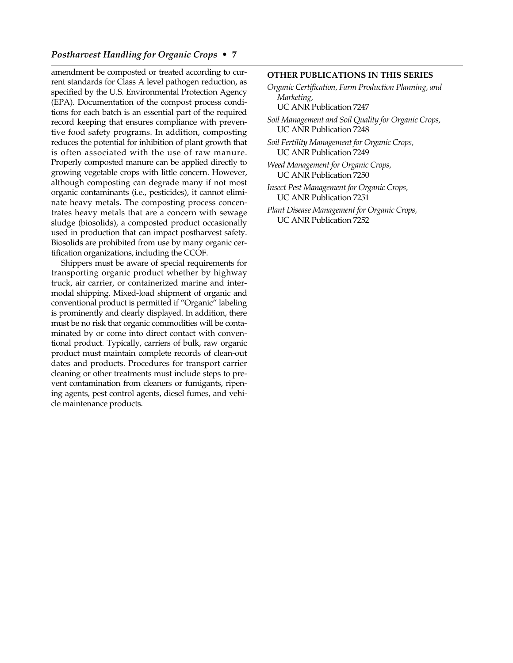# *Postharvest Handling for Organic Crops* **• 7**

amendment be composted or treated according to current standards for Class A level pathogen reduction, as specified by the U.S. Environmental Protection Agency (EPA). Documentation of the compost process conditions for each batch is an essential part of the required record keeping that ensures compliance with preventive food safety programs. In addition, composting reduces the potential for inhibition of plant growth that is often associated with the use of raw manure. Properly composted manure can be applied directly to growing vegetable crops with little concern. However, although composting can degrade many if not most organic contaminants (i.e., pesticides), it cannot eliminate heavy metals. The composting process concentrates heavy metals that are a concern with sewage sludge (biosolids), a composted product occasionally used in production that can impact postharvest safety. Biosolids are prohibited from use by many organic certification organizations, including the CCOF.

Shippers must be aware of special requirements for transporting organic product whether by highway truck, air carrier, or containerized marine and intermodal shipping. Mixed-load shipment of organic and conventional product is permitted if "Organic" labeling is prominently and clearly displayed. In addition, there must be no risk that organic commodities will be contaminated by or come into direct contact with conventional product. Typically, carriers of bulk, raw organic product must maintain complete records of clean-out dates and products. Procedures for transport carrier cleaning or other treatments must include steps to prevent contamination from cleaners or fumigants, ripening agents, pest control agents, diesel fumes, and vehicle maintenance products.

#### **OTHER PUBLICATIONS IN THIS SERIES**

- *Organic Certification, Farm Production Planning, and Marketing,* 
	- UC ANR Publication 7247

*Soil Management and Soil Quality for Organic Crops,* UC ANR Publication 7248

*Soil Fertility Management for Organic Crops,* UC ANR Publication 7249

*Weed Management for Organic Crops,* UC ANR Publication 7250

*Insect Pest Management for Organic Crops,* UC ANR Publication 7251

*Plant Disease Management for Organic Crops,* UC ANR Publication 7252